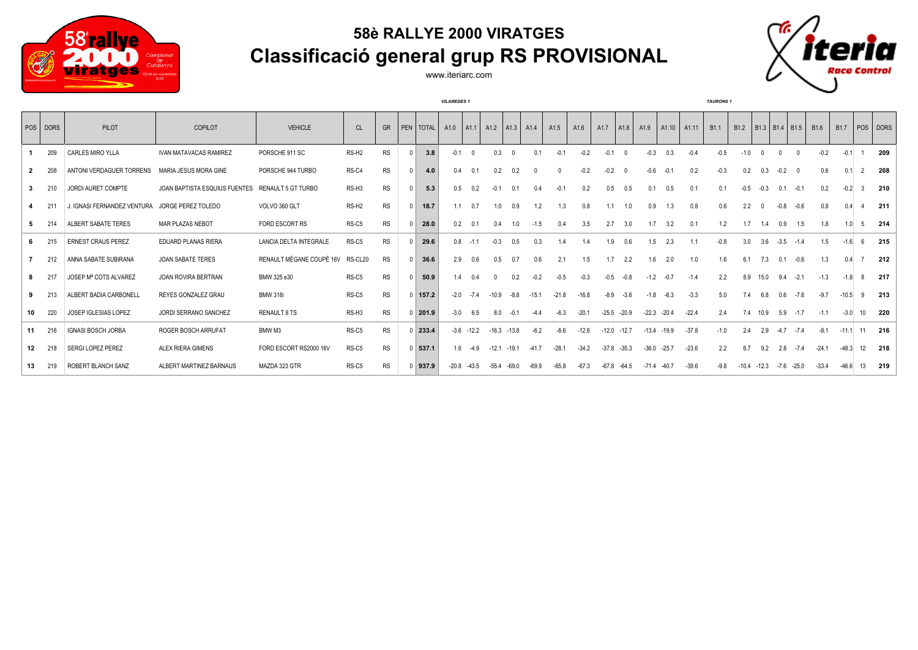

## **58è RALLYE 2000 VIRATGES Classificació general grup RS PROVISIONAL**



*VILAREDES 1 TAURONS 1*



|    | POS DORS | PILOT                       | COPILOT                       | <b>VEHICLE</b>            | CL                | <b>GR</b> | PEN   TOTAL | A1.0    | AA1          | A1.2    | AA3           | A <sub>1.4</sub> | A <sub>1.5</sub> | A1.6    | A <sub>1.7</sub> | A1.8    | A1.9    | A1.10   | A <sub>1.11</sub> | B <sub>1.1</sub> | B <sub>1.2</sub> |          | B1.3   B1.4   B1.5 |              | B <sub>1.6</sub> | B <sub>1.7</sub> |                 | POS DORS |
|----|----------|-----------------------------|-------------------------------|---------------------------|-------------------|-----------|-------------|---------|--------------|---------|---------------|------------------|------------------|---------|------------------|---------|---------|---------|-------------------|------------------|------------------|----------|--------------------|--------------|------------------|------------------|-----------------|----------|
|    | 209      | <b>CARLES MIRO YLLA</b>     | <b>IVAN MATAVACAS RAMIREZ</b> | PORSCHE 911 SC            | RS-H <sub>2</sub> | <b>RS</b> | 3.8         | $-0.1$  |              | 0.3     | $\cap$        | 0.1              | $-0$ .           | $-0.2$  | $-0.1$           |         | $-0.3$  | 0.3     | $-0.4$            |                  | $-1.0$           |          |                    |              | $-0.2$           | $-0.1$           |                 | 209      |
|    | 208      | ANTONI VERDAGUER TORRENS    | MARIA JESUS MORA GINE         | PORSCHE 944 TURBO         | RS-C4             | <b>RS</b> | 4.0         | 0.4     | 0.1          | 0.2     | 0.2           |                  | $\Omega$         | $-0.2$  | $-0.2$           |         | $-0.6$  | $-0.1$  | 0.2               | $-0.3$           | 0.2              | 0.3      | $-0.2$             |              | 0.6              | 0.1              | 2               | 208      |
| 3  | 210      | JORDI AURET COMPTE          | JOAN BAPTISTA ESQUIUS FUENTES | <b>RENAULT 5 GT TURBO</b> | RS-H <sub>3</sub> | <b>RS</b> | 5.3         | 0.5     | 0.2          | $-0.1$  | 0.1           | 0.4              | $-0.1$           | 0.2     | 0.5              | 0.5     | 0.1     | 0.5     | 0.1               | 0.1              | $-0.5$           | $-0.3$   | 0.1                | $-0.1$       | 0.2              | $-0.2$           |                 | 210      |
|    | 211      | J. IGNASI FERNANDEZ VENTURA | JORGE PEREZ TOLEDO            | VOLVO 360 GLT             | RS-H <sub>2</sub> | <b>RS</b> | 18.7        | 1.1     | 0.7          | 1.0     | 0.9           | 1.2              | 1.3              | 0.8     | 1.1              | 1.0     | 0.9     | 1.3     | 0.8               | 0.6              | 2.2              | $\Omega$ | $-0.8$             | $-0.6$       | 0.8              | 0.4              |                 | 211      |
|    | 214      | ALBERT SABATE TERES         | MAR PLAZAS NEBOT              | FORD ESCORT RS            | RS-C5             | <b>RS</b> | 28.0        | 0.2     | 0.1          | 0.4     | 1.0           | $-1.5$           | 0.4              | 3.5     | 2.7              | 3.0     | 1.7     | 3.2     | 0.1               | 1.2              | 1.7              | 1.4      | 0.9                | 1.5          | 1.8              | 1.0              | -5              | 214      |
|    | 215      | <b>ERNEST CRAUS PEREZ</b>   | <b>EDUARD PLANAS RIERA</b>    | LANCIA DELTA INTEGRALE    | RS-C5             | <b>RS</b> | 29.6        | 0.8     | $-1.1$       | $-0.3$  | 0.5           | 0.3              | 1.4              |         | 1.9              | 0.6     | 1.5     | 2.3     | 1.1               | $-0.8$           | 3.0              | 3.6      | $-3.5$             | $-1.4$       | 1.5              | $-1.6$           | -6              | 215      |
|    | 212      | ANNA SABATE SUBIRANA        | <b>JOAN SABATE TERES</b>      | RENAULT MÈGANE COUPÉ 16V  | RS-CL20           | <b>RS</b> | 36.6        | 2.9     | 0.6          | 0.5     | 0.7           | 0.6              | 2.1              | 1.5     | 1.7              | 2.2     | 1.6     | 2.0     | 1.0               | 1.6              | 61               | 7.3      | 0.1                | $-0.6$       | 1.3              | 04               |                 | 212      |
|    | 217      | JOSEP Mª COTS ALVAREZ       | JOAN ROVIRA BERTRAN           | BMW 325 e30               | RS-C5             | <b>RS</b> | 50.9        | 1.4     | 0.4          |         | 0.2           | $-0.2$           | $-0.5$           | $-0.3$  | $-0.5$           | $-0.8$  | $-1.2$  | $-0.7$  | $-1.4$            | 2.2              | 8.9              | 15.0     | 9.4                | $-2.1$       | $-1.3$           | $-1.8$           | -8              | 217      |
| 9  | 213      | ALBERT BADIA CARBONELL      | REYES GONZALEZ GRAU           | <b>BMW 318i</b>           | RS-C5             | <b>RS</b> | $0$   157.2 | $-2.0$  | $-7.4$       | $-10.9$ | $-8.8$        | $-15.1$          | $-21.8$          | $-16.8$ | $-8.9$           | $-3.6$  | $-1.8$  | $-6.3$  | $-3.3$            | 50               | 7.4              | 6.8      | 0.6                | $-7.6$       | $-9.7$           | $-10.5$          | 9               | 213      |
| 10 | 220      | JOSEP IGLESIAS LOPEZ        | JORDI SERRANO SANCHEZ         | <b>RENAULT 8 TS</b>       | RS-H3             | <b>RS</b> | 201.9       | $-3.0$  | 6.5          | 8.0     | $-0.1$        | $-4.4$           | $-6.3$           | $-20.1$ | $-25.5$          | $-20.9$ | $-22.3$ | $-20.4$ | $-22.4$           | 2.4              | 7.4              | 10.9     | 5.9                | $-1.7$       | $-1.1$           | $-3.0$           | 10 <sup>1</sup> | 220      |
| 11 | 216      | <b>IGNASI BOSCH JORBA</b>   | ROGER BOSCH ARRUFAT           | BMW M3                    | RS-C5             | <b>RS</b> | 233.4       |         | $-3.6 -12.2$ |         | $-16.3 -13.8$ | $-6.2$           | $-8.6$           | $-12.6$ | $-12.0$          | $-12.7$ | $-13.4$ | $-19.9$ | $-37.8$           | $-1.0$           | 24               | 2.9      | $-4.7$             | $-7.4$       | $-8.1$           | $-11.1$          | 11              | 216      |
| 12 | 218      | <b>SERGI LOPEZ PEREZ</b>    | <b>ALEX RIERA GIMENS</b>      | FORD ESCORT RS2000 16V    | RS-C5             | <b>RS</b> | $0$ 537.1   | 1.6     | $-4.9$       | $-12.1$ | $-19.1$       | $-41.7$          | $-28.1$          | $-34.2$ | $-37.8$          | $-35.3$ | $-36.0$ | $-25.7$ | $-23.6$           | 2.2              | 6.7              | 9.2      | 2.8                | $-7.4$       | $-24.1$          | $-48.3$          | 12              | 218      |
| 13 | 219      | ROBERT BLANCH SANZ          | ALBERT MARTINEZ BARNAUS       | MAZDA 323 GTR             | RS-C5             | <b>RS</b> | $0$ 937.9   | $-20.8$ | $-43.5$      | $-55.4$ | $-69.0$       | $-69.9$          | $-65.8$          | $-67.3$ | $-67.8$          | $-64.5$ | $-71.4$ | $-40.7$ | $-39.6$           | $-9.8$           | $-10.4$          | $-12.3$  |                    | $-7.6 -25.0$ | $-33.4$          | $-46.6$          | 13              | 219      |